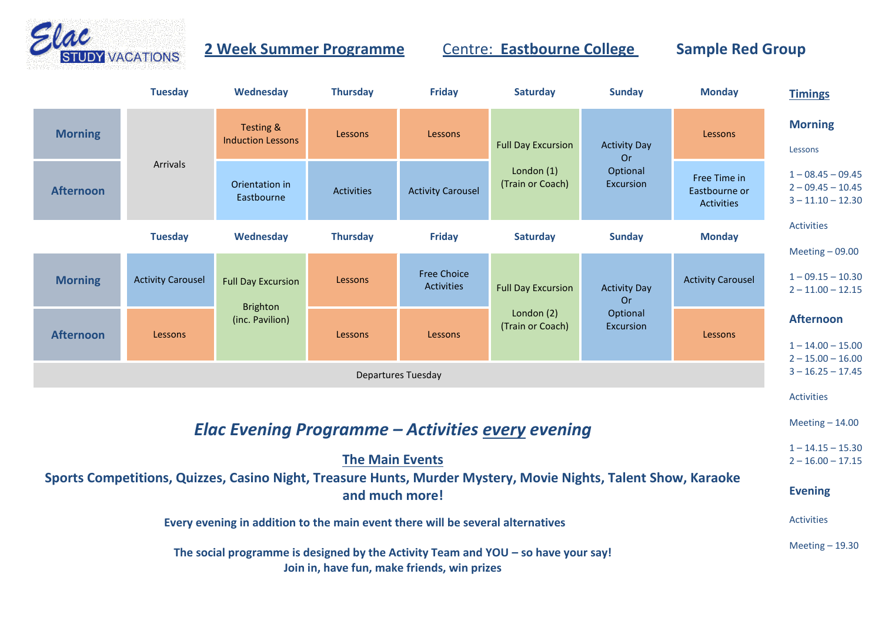

## **2 Week Summer Programme Centre: Eastbourne College Sample Red Group**

|                                                                                                                                  | <b>Tuesday</b>           | Wednesday                                                       | <b>Thursday</b>   | <b>Friday</b>                           | <b>Saturday</b>                                               | <b>Sunday</b>                                             | <b>Monday</b>                               | <b>Timings</b>                                                    |  |  |  |  |
|----------------------------------------------------------------------------------------------------------------------------------|--------------------------|-----------------------------------------------------------------|-------------------|-----------------------------------------|---------------------------------------------------------------|-----------------------------------------------------------|---------------------------------------------|-------------------------------------------------------------------|--|--|--|--|
| <b>Morning</b>                                                                                                                   |                          | Testing &<br><b>Induction Lessons</b>                           | Lessons           | Lessons                                 | <b>Full Day Excursion</b><br>London $(1)$<br>(Train or Coach) | <b>Activity Day</b><br>Or<br>Optional<br>Excursion        | Lessons                                     | <b>Morning</b><br>Lessons                                         |  |  |  |  |
| <b>Afternoon</b>                                                                                                                 | Arrivals                 | Orientation in<br>Eastbourne                                    | <b>Activities</b> | <b>Activity Carousel</b>                |                                                               |                                                           | Free Time in<br>Eastbourne or<br>Activities | $1 - 08.45 - 09.45$<br>$2 - 09.45 - 10.45$<br>$3 - 11.10 - 12.30$ |  |  |  |  |
|                                                                                                                                  | <b>Tuesday</b>           | Wednesday                                                       | <b>Thursday</b>   | <b>Friday</b>                           | Saturday                                                      | <b>Sunday</b>                                             | <b>Monday</b>                               | <b>Activities</b><br>Meeting $-09.00$                             |  |  |  |  |
| <b>Morning</b>                                                                                                                   | <b>Activity Carousel</b> | <b>Full Day Excursion</b><br><b>Brighton</b><br>(inc. Pavilion) | Lessons           | <b>Free Choice</b><br><b>Activities</b> | <b>Full Day Excursion</b><br>London (2)<br>(Train or Coach)   | <b>Activity Day</b><br><b>Or</b><br>Optional<br>Excursion | <b>Activity Carousel</b>                    | $1 - 09.15 - 10.30$<br>$2 - 11.00 - 12.15$                        |  |  |  |  |
| <b>Afternoon</b>                                                                                                                 | Lessons                  |                                                                 | Lessons           | Lessons                                 |                                                               |                                                           | Lessons                                     | <b>Afternoon</b><br>$1 - 14.00 - 15.00$<br>$2 - 15.00 - 16.00$    |  |  |  |  |
| <b>Departures Tuesday</b>                                                                                                        |                          |                                                                 |                   |                                         |                                                               |                                                           |                                             |                                                                   |  |  |  |  |
|                                                                                                                                  |                          |                                                                 |                   |                                         |                                                               |                                                           |                                             | <b>Activities</b>                                                 |  |  |  |  |
|                                                                                                                                  |                          | <b>Elac Evening Programme - Activities every evening</b>        |                   |                                         |                                                               |                                                           |                                             | Meeting $-14.00$                                                  |  |  |  |  |
|                                                                                                                                  | <b>The Main Events</b>   |                                                                 |                   |                                         |                                                               |                                                           |                                             |                                                                   |  |  |  |  |
| Sports Competitions, Quizzes, Casino Night, Treasure Hunts, Murder Mystery, Movie Nights, Talent Show, Karaoke<br>and much more! |                          |                                                                 |                   |                                         |                                                               |                                                           |                                             |                                                                   |  |  |  |  |
| Every evening in addition to the main event there will be several alternatives                                                   |                          |                                                                 |                   |                                         |                                                               |                                                           |                                             |                                                                   |  |  |  |  |
| The social programme is designed by the Activity Team and YOU – so have your say!<br>Join in, have fun, make friends, win prizes |                          |                                                                 |                   |                                         |                                                               |                                                           |                                             |                                                                   |  |  |  |  |